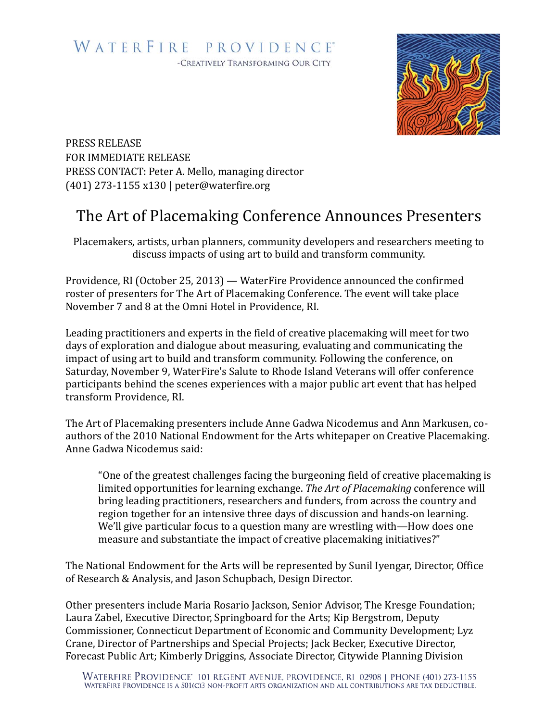

PRESS RELEASE FOR IMMEDIATE RELEASE PRESS CONTACT: Peter A. Mello, managing director (401) 273-1155 x130 | peter@waterfire.org

## The Art of Placemaking Conference Announces Presenters

Placemakers, artists, urban planners, community developers and researchers meeting to discuss impacts of using art to build and transform community.

Providence, RI (October 25, 2013) — WaterFire Providence announced the confirmed roster of presenters for The Art of Placemaking Conference. The event will take place November 7 and 8 at the Omni Hotel in Providence, RI.

Leading practitioners and experts in the field of creative placemaking will meet for two days of exploration and dialogue about measuring, evaluating and communicating the impact of using art to build and transform community. Following the conference, on Saturday, November 9, WaterFire's Salute to Rhode Island Veterans will offer conference participants behind the scenes experiences with a major public art event that has helped transform Providence, RI.

The Art of Placemaking presenters include Anne Gadwa Nicodemus and Ann Markusen, coauthors of the 2010 National Endowment for the Arts whitepaper on Creative Placemaking. Anne Gadwa Nicodemus said:

"One of the greatest challenges facing the burgeoning field of creative placemaking is limited opportunities for learning exchange. The Art of Placemaking conference will bring leading practitioners, researchers and funders, from across the country and region together for an intensive three days of discussion and hands-on learning. We'll give particular focus to a question many are wrestling with—How does one measure and substantiate the impact of creative placemaking initiatives?"

The National Endowment for the Arts will be represented by Sunil Iyengar, Director, Office of Research & Analysis, and Jason Schupbach, Design Director.

Other presenters include Maria Rosario Jackson, Senior Advisor, The Kresge Foundation; Laura Zabel, Executive Director, Springboard for the Arts; Kip Bergstrom, Deputy Commissioner, Connecticut Department of Economic and Community Development; Lyz Crane, Director of Partnerships and Special Projects; Jack Becker, Executive Director, Forecast Public Art; Kimberly Driggins, Associate Director, Citywide Planning Division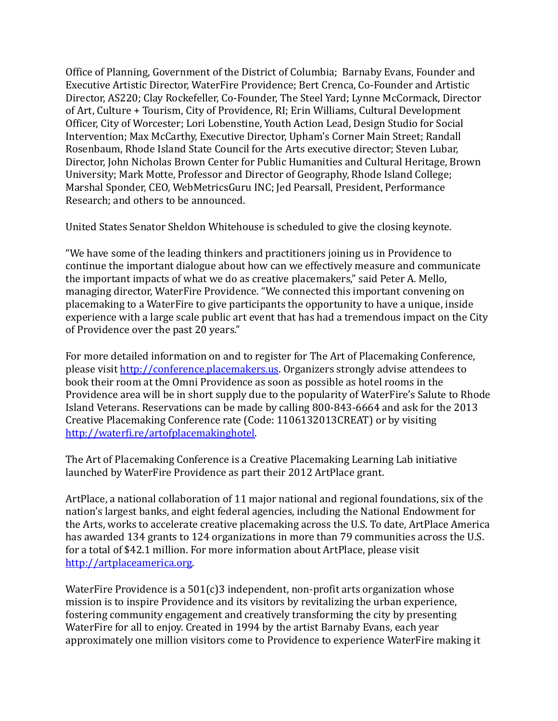Office of Planning, Government of the District of Columbia; Barnaby Evans, Founder and Executive Artistic Director, WaterFire Providence; Bert Crenca, Co-Founder and Artistic Director, AS220; Clay Rockefeller, Co-Founder, The Steel Yard; Lynne McCormack, Director of Art, Culture + Tourism, City of Providence, RI; Erin Williams, Cultural Development Officer, City of Worcester; Lori Lobenstine, Youth Action Lead, Design Studio for Social Intervention: Max McCarthy, Executive Director, Upham's Corner Main Street: Randall Rosenbaum, Rhode Island State Council for the Arts executive director; Steven Lubar, Director, John Nicholas Brown Center for Public Humanities and Cultural Heritage, Brown University; Mark Motte, Professor and Director of Geography, Rhode Island College; Marshal Sponder, CEO, WebMetricsGuru INC; Jed Pearsall, President, Performance Research; and others to be announced.

United States Senator Sheldon Whitehouse is scheduled to give the closing keynote.

"We have some of the leading thinkers and practitioners joining us in Providence to continue the important dialogue about how can we effectively measure and communicate the important impacts of what we do as creative placemakers," said Peter A. Mello, managing director, WaterFire Providence. "We connected this important convening on placemaking to a WaterFire to give participants the opportunity to have a unique, inside experience with a large scale public art event that has had a tremendous impact on the City of Providence over the past 20 years."

For more detailed information on and to register for The Art of Placemaking Conference, please visit http://conference.placemakers.us. Organizers strongly advise attendees to book their room at the Omni Providence as soon as possible as hotel rooms in the Providence area will be in short supply due to the popularity of WaterFire's Salute to Rhode Island Veterans. Reservations can be made by calling 800-843-6664 and ask for the 2013 Creative Placemaking Conference rate (Code: 1106132013CREAT) or by visiting http://waterfi.re/artofplacemakinghotel.

The Art of Placemaking Conference is a Creative Placemaking Learning Lab initiative launched by WaterFire Providence as part their 2012 ArtPlace grant.

ArtPlace, a national collaboration of 11 major national and regional foundations, six of the nation's largest banks, and eight federal agencies, including the National Endowment for the Arts, works to accelerate creative placemaking across the U.S. To date, ArtPlace America has awarded 134 grants to 124 organizations in more than 79 communities across the U.S. for a total of \$42.1 million. For more information about ArtPlace, please visit http://artplaceamerica.org. 

WaterFire Providence is a  $501(c)3$  independent, non-profit arts organization whose mission is to inspire Providence and its visitors by revitalizing the urban experience, fostering community engagement and creatively transforming the city by presenting WaterFire for all to enjoy. Created in 1994 by the artist Barnaby Evans, each year approximately one million visitors come to Providence to experience WaterFire making it